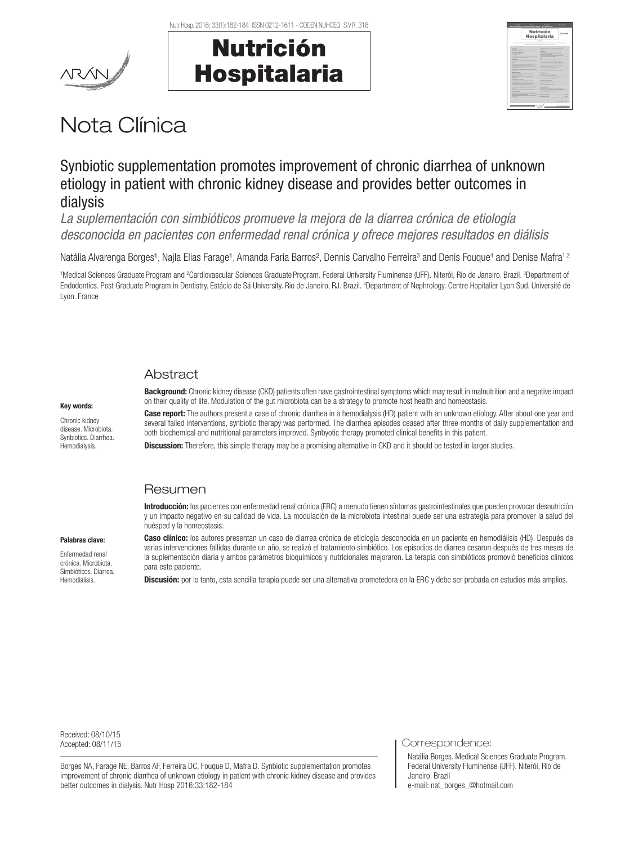



|                                                                                                                                                                                                                                                                                                                                                                                                                         | <b>Nutrición</b><br><b>Hospitalaria</b>                                                                                                                                                                                                                                               |  |
|-------------------------------------------------------------------------------------------------------------------------------------------------------------------------------------------------------------------------------------------------------------------------------------------------------------------------------------------------------------------------------------------------------------------------|---------------------------------------------------------------------------------------------------------------------------------------------------------------------------------------------------------------------------------------------------------------------------------------|--|
|                                                                                                                                                                                                                                                                                                                                                                                                                         | to experience a human factory closed buyers in price at human company at the company of<br>class Kiewen bada a books a book description classes                                                                                                                                       |  |
| Kenzie<br>would control the company of                                                                                                                                                                                                                                                                                                                                                                                  | <b>CONTRACTOR AND INTERNATIONAL CONTRACTOR</b><br><b>NORTH CONTRACTOR</b><br>$-$                                                                                                                                                                                                      |  |
| <b><i><u>Subdition Schoolwage</u></i></b><br><b>March Address</b><br>between the car as it what allows or paid of stations<br>the class will be a company of the company of the company of the company of the company of                                                                                                                                                                                                | book at a concert refined its handlest determination<br>A discussion in the paper. The contract of<br>÷<br>the art was a street and come on the state<br>dealership program in his cape.<br>ı<br>-                                                                                    |  |
| <b>SALE AND</b><br>in a low of the substantial and countries in the con-<br><b>STATE</b><br>the company of the Automotive Australian and Canada and Canada<br>with the strategy below had as below lacer 2011.                                                                                                                                                                                                          | late an extendence a series close about<br>i<br>ï<br>THE R. P. LEWIS CO., LANSING, MICH. 49-14039-1-120-2<br>÷<br>has no instrument a membrane or at once recen-<br>۰<br>and also indices a to attach the attack in factor. In<br>hours a control party on the west work column.<br>٠ |  |
| <b>NAME OF GROOM COOPERATION</b><br>at 4-to-1 steering control to the<br><b>Militar Man A Milit at automotive at Artist automotive</b>                                                                                                                                                                                                                                                                                  | <b>SON BO FUR SURES IN COLUMN TO</b><br>٠<br>Belle Factor authorization in behind a more toll-<br>٠<br><b>ATLANTA AVAILABLE CARD EN AND COMMUNITY</b><br>٠<br>but were workers and when you are the com-<br>÷<br>ï                                                                    |  |
| an you will be a complete the com-<br><b>NORTHERN</b><br><b>A the country of the country of the country of the country of the country of the country of the country of the country of the country of the country of the country of the country of the country of the country of the count</b><br>the primary is a good that the contract of<br><b>CONTRACTOR CONTRACTOR IN INC. AND</b><br>trade for the company of the | Beatracer<br><b>Including a state top control of the con-</b><br>÷<br>٠<br>۰<br>There were sure to detect the Third with a class<br>ï                                                                                                                                                 |  |
| <b>A contract and contract of the</b><br>To believ shown from provided and provided a section<br><b>BASE AN AREA WAS IMPOUNDED TO AN A</b><br><b>MARGARET &amp; ALL A MARK A HORN BOR.</b>                                                                                                                                                                                                                              | Children and the state of a bank and day that<br><b>Administration</b><br><b>BARBARA MARA BERTHA BARBARA</b><br>٠<br>٠<br>hard structure for the country of the country of<br>ï                                                                                                       |  |
| <b>WASH PERSONAL AND ARRAIGNMENT</b><br>A discussion constraint material state for a sec-<br>and the party of the control of the control of the control of the control of the control of<br><b>SALE AS VIOLENCE ROAD A SALE N.C.</b><br><b>March 1980</b> College Ave                                                                                                                                                   | <b>Notice Obrigan</b><br>٠<br>between the same company of the annual state of the<br>dent i del di sta del bra el color de citato del<br>٠<br>٠<br>THE R. P. LEWIS CO., LANSING MICH.                                                                                                 |  |
| <b>NAME AND POST OFFICE ADDRESS OF TAXABLE PARTIES.</b><br>Free car we print this column to the color<br>Notice assurance to recovery traced and the future and                                                                                                                                                                                                                                                         | ı<br>Casher of Editor Committee Committee                                                                                                                                                                                                                                             |  |

# Nota Clínica

# Synbiotic supplementation promotes improvement of chronic diarrhea of unknown etiology in patient with chronic kidney disease and provides better outcomes in dialysis

*La suplementación con simbióticos promueve la mejora de la diarrea crónica de etiología desconocida en pacientes con enfermedad renal crónica y ofrece mejores resultados en diálisis*

Natália Alvarenga Borges<sup>1</sup>, Najla Elias Farage<sup>1</sup>, Amanda Faria Barros<sup>2</sup>, Dennis Carvalho Ferreira<sup>3</sup> and Denis Fouque<sup>4</sup> and Denise Mafra<sup>1,2</sup>

<sup>1</sup>Medical Sciences Graduate Program and <sup>2</sup>Cardiovascular Sciences Graduate Program. Federal University Fluminense (UFF). Niterói, Rio de Janeiro. Brazil. <sup>3</sup>Department of Endodontics. Post Graduate Program in Dentistry. Estácio de Sá University. Rio de Janeiro, RJ. Brazil. "Department of Nephrology. Centre Hopitalier Lyon Sud. Université de Lyon. France

# **Abstract**

#### Key words:

Chronic kidney disease. Microbiota. Synbiotics. Diarrhea. Hemodialysis.

**Background:** Chronic kidney disease (CKD) patients often have gastrointestinal symptoms which may result in malnutrition and a negative impact on their quality of life. Modulation of the gut microbiota can be a strategy to promote host health and homeostasis.

Case report: The authors present a case of chronic diarrhea in a hemodialysis (HD) patient with an unknown etiology. After about one year and several failed interventions, synbiotic therapy was performed. The diarrhea episodes ceased after three months of daily supplementation and both biochemical and nutritional parameters improved. Synbyotic therapy promoted clinical benefits in this patient.

**Discussion:** Therefore, this simple therapy may be a promising alternative in CKD and it should be tested in larger studies.

## Resumen

Introducción: los pacientes con enfermedad renal crónica (ERC) a menudo tienen síntomas gastrointestinales que pueden provocar desnutrición y un impacto negativo en su calidad de vida. La modulación de la microbiota intestinal puede ser una estrategia para promover la salud del huésped y la homeostasis.

Caso clínico: los autores presentan un caso de diarrea crónica de etiología desconocida en un paciente en hemodiálisis (HD). Después de varias intervenciones fallidas durante un año, se realizó el tratamiento simbiótico. Los episodios de diarrea cesaron después de tres meses de la suplementación diaria y ambos parámetros bioquímicos y nutricionales mejoraron. La terapia con simbióticos promovió beneficios clínicos para este paciente.

Discusión: por lo tanto, esta sencilla terapia puede ser una alternativa prometedora en la ERC y debe ser probada en estudios más amplios.

Received: 08/10/15

Borges NA, Farage NE, Barros AF, Ferreira DC, Fouque D, Mafra D. Synbiotic supplementation promotes improvement of chronic diarrhea of unknown etiology in patient with chronic kidney disease and provides better outcomes in dialysis. Nutr Hosp 2016;33:182-184

Accepted: 08/11/15 Correspondence:

Natália Borges. Medical Sciences Graduate Program. Federal University Fluminense (UFF). Niterói, Rio de Janeiro. Brazil e-mail: nat\_borges\_@hotmail.com

Enfermedad renal crónica. Microbiota. Simbióticos. Diarrea. Hemodiálisis.

Palabras clave: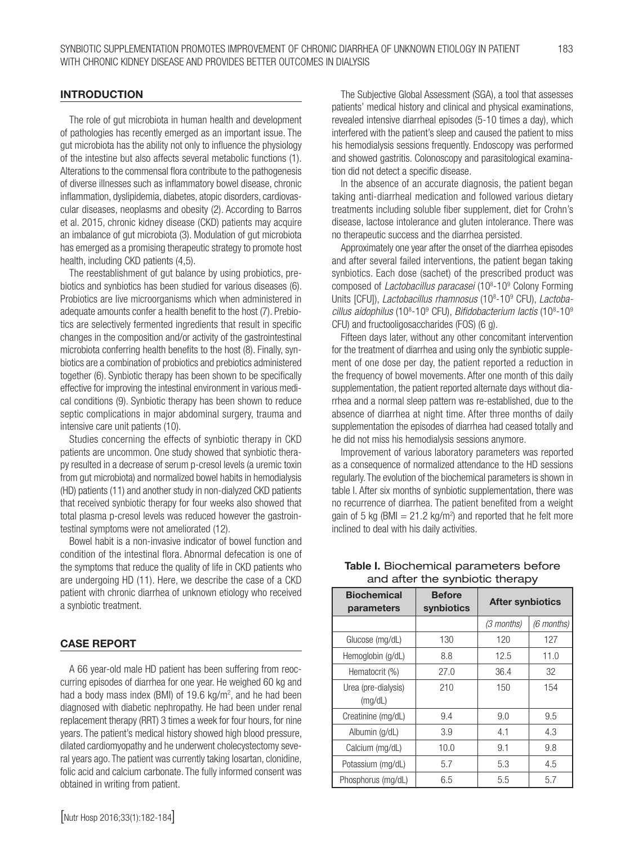## INTRODUCTION

The role of gut microbiota in human health and development of pathologies has recently emerged as an important issue. The gut microbiota has the ability not only to influence the physiology of the intestine but also affects several metabolic functions (1). Alterations to the commensal flora contribute to the pathogenesis of diverse illnesses such as inflammatory bowel disease, chronic inflammation, dyslipidemia, diabetes, atopic disorders, cardiovascular diseases, neoplasms and obesity (2). According to Barros et al. 2015, chronic kidney disease (CKD) patients may acquire an imbalance of gut microbiota (3). Modulation of gut microbiota has emerged as a promising therapeutic strategy to promote host health, including CKD patients (4,5).

The reestablishment of gut balance by using probiotics, prebiotics and synbiotics has been studied for various diseases (6). Probiotics are live microorganisms which when administered in adequate amounts confer a health benefit to the host (7). Prebiotics are selectively fermented ingredients that result in specific changes in the composition and/or activity of the gastrointestinal microbiota conferring health benefits to the host (8). Finally, synbiotics are a combination of probiotics and prebiotics administered together (6). Synbiotic therapy has been shown to be specifically effective for improving the intestinal environment in various medical conditions (9). Synbiotic therapy has been shown to reduce septic complications in major abdominal surgery, trauma and intensive care unit patients (10).

Studies concerning the effects of synbiotic therapy in CKD patients are uncommon. One study showed that synbiotic therapy resulted in a decrease of serum p-cresol levels (a uremic toxin from gut microbiota) and normalized bowel habits in hemodialysis (HD) patients (11) and another study in non-dialyzed CKD patients that received synbiotic therapy for four weeks also showed that total plasma p-cresol levels was reduced however the gastrointestinal symptoms were not ameliorated (12).

Bowel habit is a non-invasive indicator of bowel function and condition of the intestinal flora. Abnormal defecation is one of the symptoms that reduce the quality of life in CKD patients who are undergoing HD (11). Here, we describe the case of a CKD patient with chronic diarrhea of unknown etiology who received a synbiotic treatment.

### CASE REPORT

A 66 year-old male HD patient has been suffering from reoccurring episodes of diarrhea for one year. He weighed 60 kg and had a body mass index (BMI) of 19.6 kg/m<sup>2</sup>, and he had been diagnosed with diabetic nephropathy. He had been under renal replacement therapy (RRT) 3 times a week for four hours, for nine years. The patient's medical history showed high blood pressure, dilated cardiomyopathy and he underwent cholecystectomy several years ago. The patient was currently taking losartan, clonidine, folic acid and calcium carbonate. The fully informed consent was obtained in writing from patient.

The Subjective Global Assessment (SGA), a tool that assesses patients' medical history and clinical and physical examinations, revealed intensive diarrheal episodes (5-10 times a day), which interfered with the patient's sleep and caused the patient to miss his hemodialysis sessions frequently. Endoscopy was performed and showed gastritis. Colonoscopy and parasitological examination did not detect a specific disease.

In the absence of an accurate diagnosis, the patient began taking anti-diarrheal medication and followed various dietary treatments including soluble fiber supplement, diet for Crohn's disease, lactose intolerance and gluten intolerance. There was no therapeutic success and the diarrhea persisted.

Approximately one year after the onset of the diarrhea episodes and after several failed interventions, the patient began taking synbiotics. Each dose (sachet) of the prescribed product was composed of *Lactobacillus paracasei* (10<sup>8</sup>-10<sup>9</sup> Colony Forming Units [CFU]), *Lactobacillus rhamnosus* (10<sup>8</sup>-10<sup>9</sup> CFU), Lactobacillus aidophilus (10<sup>8</sup>-10<sup>9</sup> CFU), *Bifidobacterium lactis* (10<sup>8</sup>-10<sup>9</sup> CFU) and fructooligosaccharides (FOS) (6 g).

Fifteen days later, without any other concomitant intervention for the treatment of diarrhea and using only the synbiotic supplement of one dose per day, the patient reported a reduction in the frequency of bowel movements. After one month of this daily supplementation, the patient reported alternate days without diarrhea and a normal sleep pattern was re-established, due to the absence of diarrhea at night time. After three months of daily supplementation the episodes of diarrhea had ceased totally and he did not miss his hemodialysis sessions anymore.

Improvement of various laboratory parameters was reported as a consequence of normalized attendance to the HD sessions regularly. The evolution of the biochemical parameters is shown in table I. After six months of synbiotic supplementation, there was no recurrence of diarrhea. The patient benefited from a weight gain of 5 kg (BMI  $= 21.2$  kg/m<sup>2</sup>) and reported that he felt more inclined to deal with his daily activities.

| and arter the symbiotic therapy  |                             |                         |            |  |
|----------------------------------|-----------------------------|-------------------------|------------|--|
| <b>Biochemical</b><br>parameters | <b>Before</b><br>synbiotics | <b>After synbiotics</b> |            |  |
|                                  |                             | (3 months)              | (6 months) |  |
| Glucose (mg/dL)                  | 130                         | 120                     | 127        |  |
| Hemoglobin (g/dL)                | 8.8                         | 12.5                    | 11.0       |  |
| Hematocrit (%)                   | 27.0                        | 36.4                    | 32         |  |
| Urea (pre-dialysis)<br>(mq/dL)   | 210                         | 150                     | 154        |  |
| Creatinine (mg/dL)               | 9.4                         | 9.0                     | 9.5        |  |
| Albumin (g/dL)                   | 3.9                         | 4.1                     | 4.3        |  |
| Calcium (mg/dL)                  | 10.0                        | 9.1                     | 9.8        |  |
| Potassium (mg/dL)                | 5.7                         | 5.3                     | 4.5        |  |
| Phosphorus (mg/dL)               | 6.5                         | 5.5                     | 5.7        |  |

Table I. Biochemical parameters before and after the synbiotic therapy